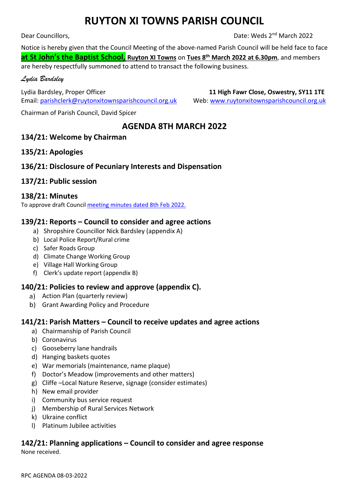# **RUYTON XI TOWNS PARISH COUNCIL**

Dear Councillors,

Date: Weds 2<sup>nd</sup> March 2022

Notice is hereby given that the Council Meeting of the above-named Parish Council will be held face to face **at St John's the Baptist School, Ruyton XI Towns** on **Tues 8 th March 2022 at 6.30pm**, and members are hereby respectfully summoned to attend to transact the following business.

#### *Lydia Bardsley*

Lydia Bardsley, Proper Officer **11 High Fawr Close, Oswestry, SY11 1TE**  Email[: parishclerk@ruytonxitownsparishcouncil.org.uk](mailto:parishclerk@ruytonxitownsparishcouncil.org.uk) Web: [www.ruytonxitownsparishcouncil.org.uk](http://www.ruytonxitownsparishcouncil.org.uk/)

Chairman of Parish Council, David Spicer

### **AGENDA 8TH MARCH 2022**

### **134/21: Welcome by Chairman**

### **135/21: Apologies**

### **136/21: Disclosure of Pecuniary Interests and Dispensation**

### **137/21: Public session**

### **138/21: Minutes**

To approve draft Council [meeting minutes dated](http://www.ruytonxitownsparishcouncil.org.uk/wp-content/uploads/2022/03/Feb-2022-minutes.pdf) 8th Feb 2022.

### **139/21: Reports – Council to consider and agree actions**

- a) Shropshire Councillor Nick Bardsley (appendix A)
- b) Local Police Report/Rural crime
- c) Safer Roads Group
- d) Climate Change Working Group
- e) Village Hall Working Group
- f) Clerk's update report (appendix B)

### **140/21: Policies to review and approve (appendix C).**

- a) Action Plan (quarterly review)
- b) Grant Awarding Policy and Procedure

### **141/21: Parish Matters – Council to receive updates and agree actions**

- a) Chairmanship of Parish Council
- b) Coronavirus
- c) Gooseberry lane handrails
- d) Hanging baskets quotes
- e) War memorials (maintenance, name plaque)
- f) Doctor's Meadow (improvements and other matters)
- g) Cliffe –Local Nature Reserve, signage (consider estimates)
- h) New email provider
- i) Community bus service request
- j) Membership of Rural Services Network
- k) Ukraine conflict
- l) Platinum Jubilee activities

## **142/21: Planning applications – Council to consider and agree response**

None received.